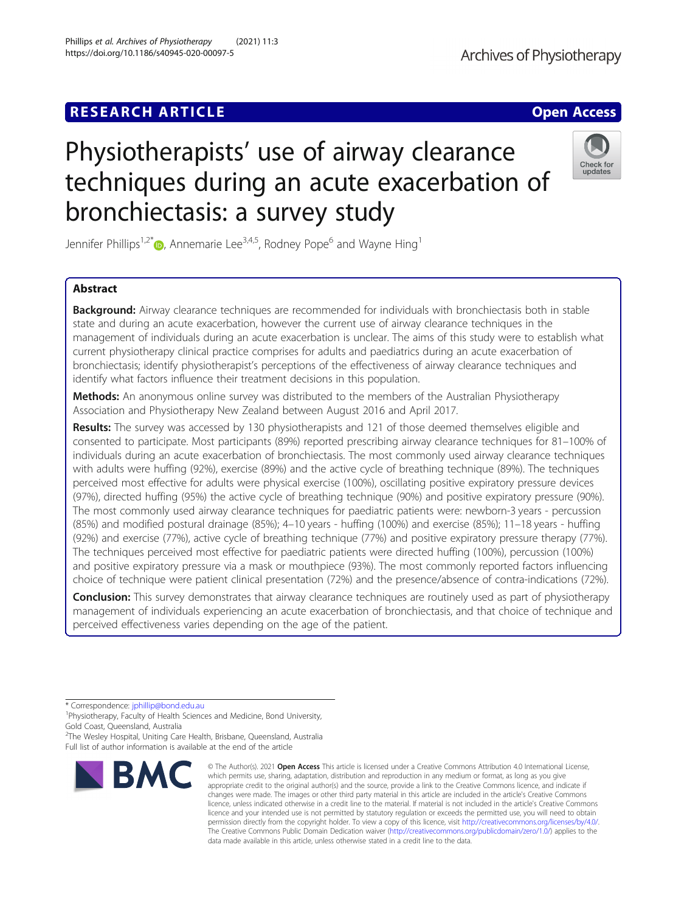# **RESEARCH ARTICLE Example 2018 12:00 Deep Access**

# Physiotherapists' use of airway clearance techniques during an acute exacerbation of bronchiectasis: a survey study

Jennifer Phillips<sup>1,2[\\*](http://orcid.org/0000-0002-4420-086X)</sup> $\bullet$ , Annemarie Lee<sup>3,4,5</sup>, Rodney Pope<sup>6</sup> and Wayne Hing<sup>1</sup>

# Abstract

Background: Airway clearance techniques are recommended for individuals with bronchiectasis both in stable state and during an acute exacerbation, however the current use of airway clearance techniques in the management of individuals during an acute exacerbation is unclear. The aims of this study were to establish what current physiotherapy clinical practice comprises for adults and paediatrics during an acute exacerbation of bronchiectasis; identify physiotherapist's perceptions of the effectiveness of airway clearance techniques and identify what factors influence their treatment decisions in this population.

Methods: An anonymous online survey was distributed to the members of the Australian Physiotherapy Association and Physiotherapy New Zealand between August 2016 and April 2017.

Results: The survey was accessed by 130 physiotherapists and 121 of those deemed themselves eligible and consented to participate. Most participants (89%) reported prescribing airway clearance techniques for 81–100% of individuals during an acute exacerbation of bronchiectasis. The most commonly used airway clearance techniques with adults were huffing (92%), exercise (89%) and the active cycle of breathing technique (89%). The techniques perceived most effective for adults were physical exercise (100%), oscillating positive expiratory pressure devices (97%), directed huffing (95%) the active cycle of breathing technique (90%) and positive expiratory pressure (90%). The most commonly used airway clearance techniques for paediatric patients were: newborn-3 years - percussion (85%) and modified postural drainage (85%); 4–10 years - huffing (100%) and exercise (85%); 11–18 years - huffing (92%) and exercise (77%), active cycle of breathing technique (77%) and positive expiratory pressure therapy (77%). The techniques perceived most effective for paediatric patients were directed huffing (100%), percussion (100%) and positive expiratory pressure via a mask or mouthpiece (93%). The most commonly reported factors influencing choice of technique were patient clinical presentation (72%) and the presence/absence of contra-indications (72%).

Conclusion: This survey demonstrates that airway clearance techniques are routinely used as part of physiotherapy management of individuals experiencing an acute exacerbation of bronchiectasis, and that choice of technique and perceived effectiveness varies depending on the age of the patient.

\* Correspondence: [jphillip@bond.edu.au](mailto:jphillip@bond.edu.au) <sup>1</sup>

<sup>2</sup>The Wesley Hospital, Uniting Care Health, Brisbane, Queensland, Australia Full list of author information is available at the end of the article



<sup>©</sup> The Author(s), 2021 **Open Access** This article is licensed under a Creative Commons Attribution 4.0 International License, which permits use, sharing, adaptation, distribution and reproduction in any medium or format, as long as you give appropriate credit to the original author(s) and the source, provide a link to the Creative Commons licence, and indicate if changes were made. The images or other third party material in this article are included in the article's Creative Commons licence, unless indicated otherwise in a credit line to the material. If material is not included in the article's Creative Commons licence and your intended use is not permitted by statutory regulation or exceeds the permitted use, you will need to obtain permission directly from the copyright holder. To view a copy of this licence, visit [http://creativecommons.org/licenses/by/4.0/.](http://creativecommons.org/licenses/by/4.0/) The Creative Commons Public Domain Dedication waiver [\(http://creativecommons.org/publicdomain/zero/1.0/](http://creativecommons.org/publicdomain/zero/1.0/)) applies to the data made available in this article, unless otherwise stated in a credit line to the data.



<sup>&</sup>lt;sup>1</sup>Physiotherapy, Faculty of Health Sciences and Medicine, Bond University, Gold Coast, Queensland, Australia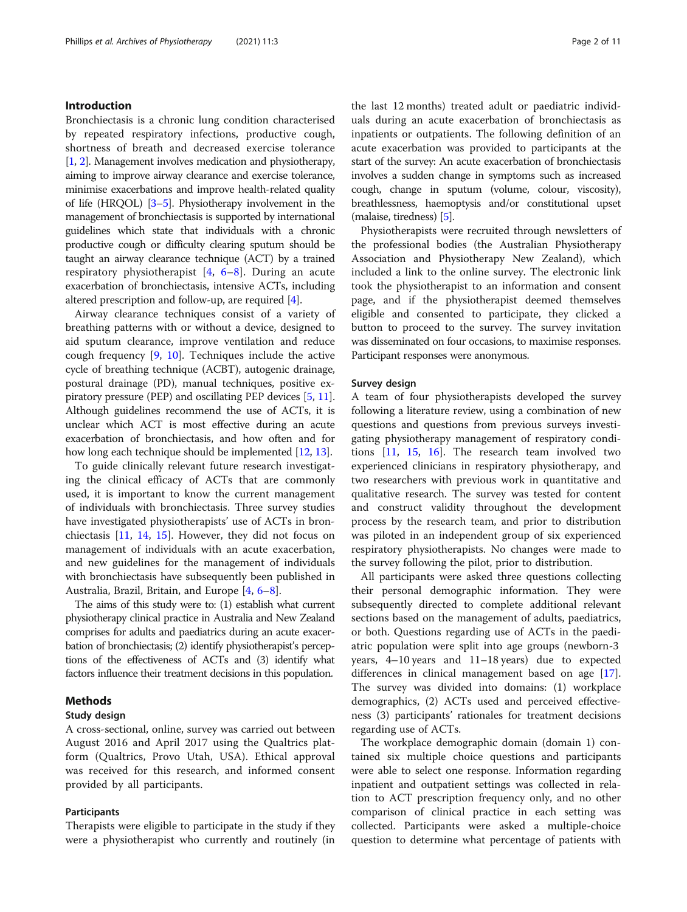# Introduction

Bronchiectasis is a chronic lung condition characterised by repeated respiratory infections, productive cough, shortness of breath and decreased exercise tolerance [[1](#page-9-0), [2\]](#page-9-0). Management involves medication and physiotherapy, aiming to improve airway clearance and exercise tolerance, minimise exacerbations and improve health-related quality of life (HRQOL) [\[3](#page-9-0)–[5\]](#page-9-0). Physiotherapy involvement in the management of bronchiectasis is supported by international guidelines which state that individuals with a chronic productive cough or difficulty clearing sputum should be taught an airway clearance technique (ACT) by a trained respiratory physiotherapist  $[4, 6-8]$  $[4, 6-8]$  $[4, 6-8]$  $[4, 6-8]$  $[4, 6-8]$  $[4, 6-8]$ . During an acute exacerbation of bronchiectasis, intensive ACTs, including altered prescription and follow-up, are required [\[4\]](#page-9-0).

Airway clearance techniques consist of a variety of breathing patterns with or without a device, designed to aid sputum clearance, improve ventilation and reduce cough frequency [\[9](#page-9-0), [10\]](#page-9-0). Techniques include the active cycle of breathing technique (ACBT), autogenic drainage, postural drainage (PD), manual techniques, positive expiratory pressure (PEP) and oscillating PEP devices [\[5,](#page-9-0) [11](#page-9-0)]. Although guidelines recommend the use of ACTs, it is unclear which ACT is most effective during an acute exacerbation of bronchiectasis, and how often and for how long each technique should be implemented [\[12,](#page-9-0) [13](#page-9-0)].

To guide clinically relevant future research investigating the clinical efficacy of ACTs that are commonly used, it is important to know the current management of individuals with bronchiectasis. Three survey studies have investigated physiotherapists' use of ACTs in bronchiectasis [[11,](#page-9-0) [14,](#page-9-0) [15](#page-9-0)]. However, they did not focus on management of individuals with an acute exacerbation, and new guidelines for the management of individuals with bronchiectasis have subsequently been published in Australia, Brazil, Britain, and Europe [\[4,](#page-9-0) [6](#page-9-0)–[8\]](#page-9-0).

The aims of this study were to: (1) establish what current physiotherapy clinical practice in Australia and New Zealand comprises for adults and paediatrics during an acute exacerbation of bronchiectasis; (2) identify physiotherapist's perceptions of the effectiveness of ACTs and (3) identify what factors influence their treatment decisions in this population.

#### Methods

#### Study design

A cross-sectional, online, survey was carried out between August 2016 and April 2017 using the Qualtrics platform (Qualtrics, Provo Utah, USA). Ethical approval was received for this research, and informed consent provided by all participants.

# Participants

Therapists were eligible to participate in the study if they were a physiotherapist who currently and routinely (in the last 12 months) treated adult or paediatric individuals during an acute exacerbation of bronchiectasis as inpatients or outpatients. The following definition of an acute exacerbation was provided to participants at the start of the survey: An acute exacerbation of bronchiectasis involves a sudden change in symptoms such as increased cough, change in sputum (volume, colour, viscosity), breathlessness, haemoptysis and/or constitutional upset (malaise, tiredness) [[5](#page-9-0)].

Physiotherapists were recruited through newsletters of the professional bodies (the Australian Physiotherapy Association and Physiotherapy New Zealand), which included a link to the online survey. The electronic link took the physiotherapist to an information and consent page, and if the physiotherapist deemed themselves eligible and consented to participate, they clicked a button to proceed to the survey. The survey invitation was disseminated on four occasions, to maximise responses. Participant responses were anonymous.

## Survey design

A team of four physiotherapists developed the survey following a literature review, using a combination of new questions and questions from previous surveys investigating physiotherapy management of respiratory conditions [\[11](#page-9-0), [15,](#page-9-0) [16](#page-9-0)]. The research team involved two experienced clinicians in respiratory physiotherapy, and two researchers with previous work in quantitative and qualitative research. The survey was tested for content and construct validity throughout the development process by the research team, and prior to distribution was piloted in an independent group of six experienced respiratory physiotherapists. No changes were made to the survey following the pilot, prior to distribution.

All participants were asked three questions collecting their personal demographic information. They were subsequently directed to complete additional relevant sections based on the management of adults, paediatrics, or both. Questions regarding use of ACTs in the paediatric population were split into age groups (newborn-3 years, 4–10 years and 11–18 years) due to expected differences in clinical management based on age [\[17](#page-9-0)]. The survey was divided into domains: (1) workplace demographics, (2) ACTs used and perceived effectiveness (3) participants' rationales for treatment decisions regarding use of ACTs.

The workplace demographic domain (domain 1) contained six multiple choice questions and participants were able to select one response. Information regarding inpatient and outpatient settings was collected in relation to ACT prescription frequency only, and no other comparison of clinical practice in each setting was collected. Participants were asked a multiple-choice question to determine what percentage of patients with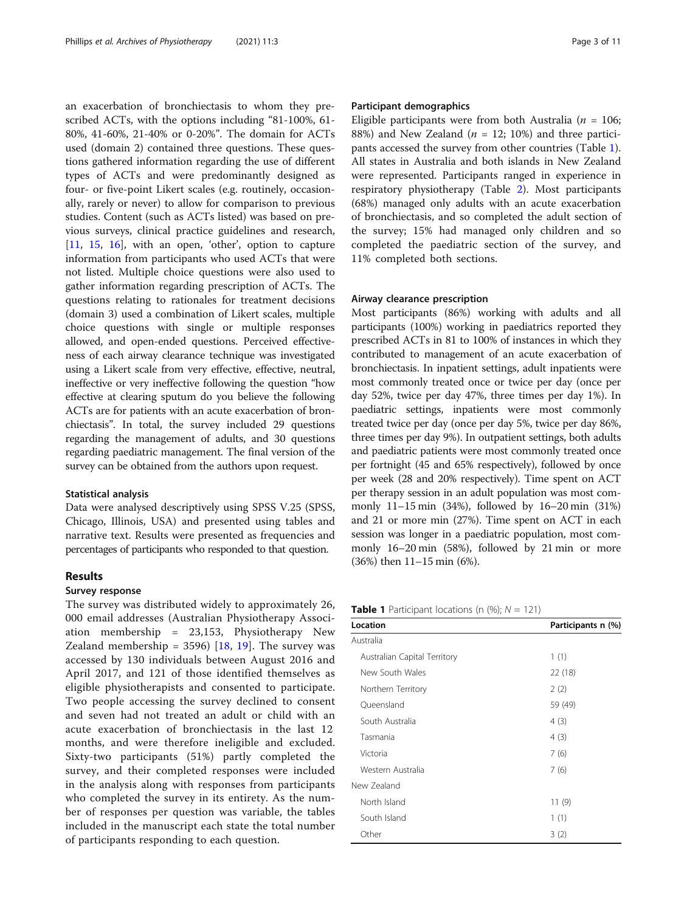an exacerbation of bronchiectasis to whom they prescribed ACTs, with the options including "81-100%, 61- 80%, 41-60%, 21-40% or 0-20%". The domain for ACTs used (domain 2) contained three questions. These questions gathered information regarding the use of different types of ACTs and were predominantly designed as four- or five-point Likert scales (e.g. routinely, occasionally, rarely or never) to allow for comparison to previous studies. Content (such as ACTs listed) was based on previous surveys, clinical practice guidelines and research, [[11,](#page-9-0) [15](#page-9-0), [16](#page-9-0)], with an open, 'other', option to capture information from participants who used ACTs that were not listed. Multiple choice questions were also used to gather information regarding prescription of ACTs. The questions relating to rationales for treatment decisions (domain 3) used a combination of Likert scales, multiple choice questions with single or multiple responses allowed, and open-ended questions. Perceived effectiveness of each airway clearance technique was investigated using a Likert scale from very effective, effective, neutral, ineffective or very ineffective following the question "how effective at clearing sputum do you believe the following ACTs are for patients with an acute exacerbation of bronchiectasis". In total, the survey included 29 questions regarding the management of adults, and 30 questions regarding paediatric management. The final version of the survey can be obtained from the authors upon request.

#### Statistical analysis

Data were analysed descriptively using SPSS V.25 (SPSS, Chicago, Illinois, USA) and presented using tables and narrative text. Results were presented as frequencies and percentages of participants who responded to that question.

# Results

# Survey response

The survey was distributed widely to approximately 26, 000 email addresses (Australian Physiotherapy Association membership = 23,153, Physiotherapy New Zealand membership =  $3596$ ) [\[18](#page-9-0), [19](#page-9-0)]. The survey was accessed by 130 individuals between August 2016 and April 2017, and 121 of those identified themselves as eligible physiotherapists and consented to participate. Two people accessing the survey declined to consent and seven had not treated an adult or child with an acute exacerbation of bronchiectasis in the last 12 months, and were therefore ineligible and excluded. Sixty-two participants (51%) partly completed the survey, and their completed responses were included in the analysis along with responses from participants who completed the survey in its entirety. As the number of responses per question was variable, the tables included in the manuscript each state the total number of participants responding to each question.

# Participant demographics

Eligible participants were from both Australia ( $n = 106$ ; 88%) and New Zealand ( $n = 12$ ; 10%) and three participants accessed the survey from other countries (Table 1). All states in Australia and both islands in New Zealand were represented. Participants ranged in experience in respiratory physiotherapy (Table [2](#page-3-0)). Most participants (68%) managed only adults with an acute exacerbation of bronchiectasis, and so completed the adult section of the survey; 15% had managed only children and so completed the paediatric section of the survey, and 11% completed both sections.

# Airway clearance prescription

Most participants (86%) working with adults and all participants (100%) working in paediatrics reported they prescribed ACTs in 81 to 100% of instances in which they contributed to management of an acute exacerbation of bronchiectasis. In inpatient settings, adult inpatients were most commonly treated once or twice per day (once per day 52%, twice per day 47%, three times per day 1%). In paediatric settings, inpatients were most commonly treated twice per day (once per day 5%, twice per day 86%, three times per day 9%). In outpatient settings, both adults and paediatric patients were most commonly treated once per fortnight (45 and 65% respectively), followed by once per week (28 and 20% respectively). Time spent on ACT per therapy session in an adult population was most commonly 11–15 min (34%), followed by 16–20 min (31%) and 21 or more min (27%). Time spent on ACT in each session was longer in a paediatric population, most commonly 16–20 min (58%), followed by 21 min or more (36%) then 11–15 min (6%).

**Table 1** Participant locations (n  $(\%)$ ;  $N = 121$ )

| Location                     | Participants n (%) |
|------------------------------|--------------------|
| Australia                    |                    |
| Australian Capital Territory | 1(1)               |
| New South Wales              | 22 (18)            |
| Northern Territory           | 2(2)               |
| Queensland                   | 59 (49)            |
| South Australia              | 4(3)               |
| Tasmania                     | 4(3)               |
| Victoria                     | 7(6)               |
| Western Australia            | 7(6)               |
| New Zealand                  |                    |
| North Island                 | 11(9)              |
| South Island                 | 1(1)               |
| Other                        | 3(2)               |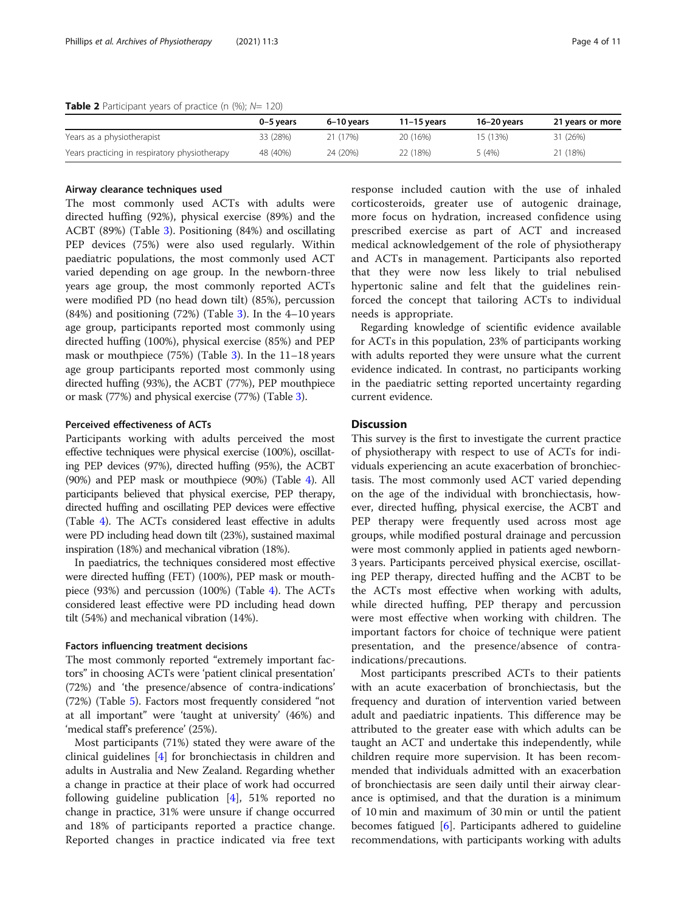# <span id="page-3-0"></span>**Table 2** Participant years of practice (n  $(\%)$ ;  $N= 120$ )

|                                               | 0–5 vears | 6-10 vears | $11 - 15$ vears | 16-20 vears | 21 years or more |
|-----------------------------------------------|-----------|------------|-----------------|-------------|------------------|
| Years as a physiotherapist                    | 33 (28%)  | 21 (17%)   | 20 (16%)        | 15 (13%)    | 31 (26%)         |
| Years practicing in respiratory physiotherapy | 48 (40%)  | 24 (20%)   | 22 (18%)        | 5(4%)       | 21 (18%)         |

### Airway clearance techniques used

The most commonly used ACTs with adults were directed huffing (92%), physical exercise (89%) and the ACBT (89%) (Table [3\)](#page-4-0). Positioning (84%) and oscillating PEP devices (75%) were also used regularly. Within paediatric populations, the most commonly used ACT varied depending on age group. In the newborn-three years age group, the most commonly reported ACTs were modified PD (no head down tilt) (85%), percussion (84%) and positioning (72%) (Table [3\)](#page-4-0). In the 4–10 years age group, participants reported most commonly using directed huffing (100%), physical exercise (85%) and PEP mask or mouthpiece (75%) (Table [3\)](#page-4-0). In the 11–18 years age group participants reported most commonly using directed huffing (93%), the ACBT (77%), PEP mouthpiece or mask (77%) and physical exercise (77%) (Table [3](#page-4-0)).

# Perceived effectiveness of ACTs

Participants working with adults perceived the most effective techniques were physical exercise (100%), oscillating PEP devices (97%), directed huffing (95%), the ACBT (90%) and PEP mask or mouthpiece (90%) (Table [4\)](#page-6-0). All participants believed that physical exercise, PEP therapy, directed huffing and oscillating PEP devices were effective (Table [4](#page-6-0)). The ACTs considered least effective in adults were PD including head down tilt (23%), sustained maximal inspiration (18%) and mechanical vibration (18%).

In paediatrics, the techniques considered most effective were directed huffing (FET) (100%), PEP mask or mouthpiece (93%) and percussion (100%) (Table [4](#page-6-0)). The ACTs considered least effective were PD including head down tilt (54%) and mechanical vibration (14%).

# Factors influencing treatment decisions

The most commonly reported "extremely important factors" in choosing ACTs were 'patient clinical presentation' (72%) and 'the presence/absence of contra-indications' (72%) (Table [5](#page-7-0)). Factors most frequently considered "not at all important" were 'taught at university' (46%) and 'medical staff's preference' (25%).

Most participants (71%) stated they were aware of the clinical guidelines [\[4](#page-9-0)] for bronchiectasis in children and adults in Australia and New Zealand. Regarding whether a change in practice at their place of work had occurred following guideline publication  $[4]$  $[4]$ , 51% reported no change in practice, 31% were unsure if change occurred and 18% of participants reported a practice change. Reported changes in practice indicated via free text response included caution with the use of inhaled corticosteroids, greater use of autogenic drainage, more focus on hydration, increased confidence using prescribed exercise as part of ACT and increased medical acknowledgement of the role of physiotherapy and ACTs in management. Participants also reported that they were now less likely to trial nebulised hypertonic saline and felt that the guidelines reinforced the concept that tailoring ACTs to individual needs is appropriate.

Regarding knowledge of scientific evidence available for ACTs in this population, 23% of participants working with adults reported they were unsure what the current evidence indicated. In contrast, no participants working in the paediatric setting reported uncertainty regarding current evidence.

# **Discussion**

This survey is the first to investigate the current practice of physiotherapy with respect to use of ACTs for individuals experiencing an acute exacerbation of bronchiectasis. The most commonly used ACT varied depending on the age of the individual with bronchiectasis, however, directed huffing, physical exercise, the ACBT and PEP therapy were frequently used across most age groups, while modified postural drainage and percussion were most commonly applied in patients aged newborn-3 years. Participants perceived physical exercise, oscillating PEP therapy, directed huffing and the ACBT to be the ACTs most effective when working with adults, while directed huffing, PEP therapy and percussion were most effective when working with children. The important factors for choice of technique were patient presentation, and the presence/absence of contraindications/precautions.

Most participants prescribed ACTs to their patients with an acute exacerbation of bronchiectasis, but the frequency and duration of intervention varied between adult and paediatric inpatients. This difference may be attributed to the greater ease with which adults can be taught an ACT and undertake this independently, while children require more supervision. It has been recommended that individuals admitted with an exacerbation of bronchiectasis are seen daily until their airway clearance is optimised, and that the duration is a minimum of 10 min and maximum of 30 min or until the patient becomes fatigued  $[6]$  $[6]$ . Participants adhered to guideline recommendations, with participants working with adults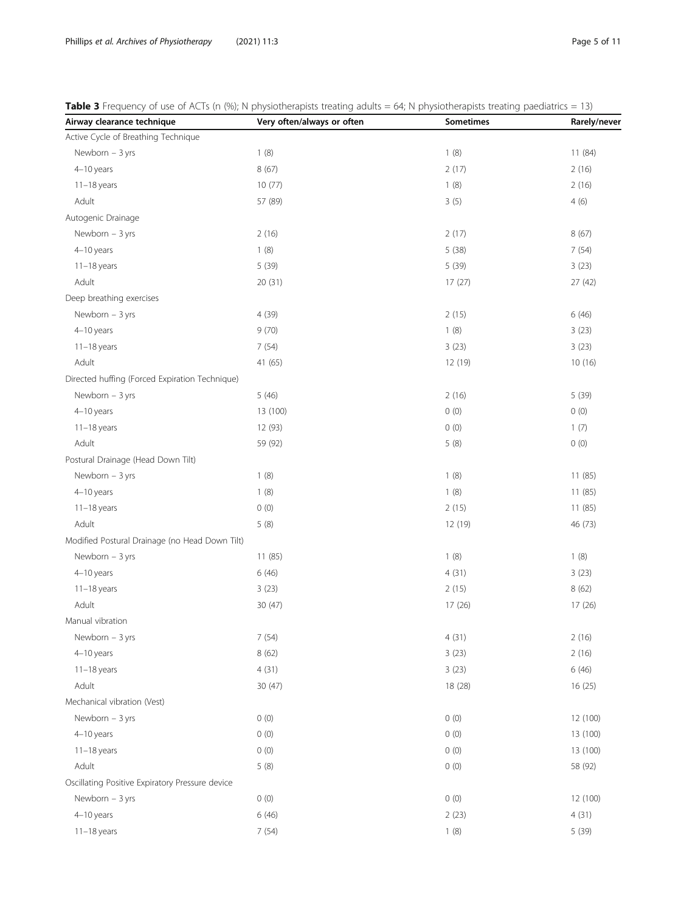<span id="page-4-0"></span>

| Table 3 Frequency of use of ACTs (n (%); N physiotherapists treating adults = 64; N physiotherapists treating paediatrics = 13) |  |  |  |
|---------------------------------------------------------------------------------------------------------------------------------|--|--|--|
|---------------------------------------------------------------------------------------------------------------------------------|--|--|--|

| Airway clearance technique                      | Very often/always or often | Sometimes | Rarely/never |
|-------------------------------------------------|----------------------------|-----------|--------------|
| Active Cycle of Breathing Technique             |                            |           |              |
| Newborn $-3$ yrs                                | 1(8)                       | 1(8)      | 11 (84)      |
| 4-10 years                                      | 8(67)                      | 2(17)     | 2(16)        |
| $11-18$ years                                   | 10(77)                     | 1(8)      | 2(16)        |
| Adult                                           | 57 (89)                    | 3(5)      | 4(6)         |
| Autogenic Drainage                              |                            |           |              |
| Newborn $-3$ yrs                                | 2(16)                      | 2(17)     | 8(67)        |
| 4-10 years                                      | 1(8)                       | 5(38)     | 7(54)        |
| $11-18$ years                                   | 5 (39)                     | 5 (39)    | 3(23)        |
| Adult                                           | 20(31)                     | 17(27)    | 27 (42)      |
| Deep breathing exercises                        |                            |           |              |
| Newborn $-3$ yrs                                | 4 (39)                     | 2(15)     | 6(46)        |
| 4-10 years                                      | 9(70)                      | 1(8)      | 3(23)        |
| $11-18$ years                                   | 7(54)                      | 3(23)     | 3(23)        |
| Adult                                           | 41 (65)                    | 12 (19)   | 10(16)       |
| Directed huffing (Forced Expiration Technique)  |                            |           |              |
| Newborn $-3$ yrs                                | 5(46)                      | 2(16)     | 5 (39)       |
| 4-10 years                                      | 13 (100)                   | 0(0)      | 0(0)         |
| $11-18$ years                                   | 12 (93)                    | 0(0)      | 1(7)         |
| Adult                                           | 59 (92)                    | 5(8)      | 0(0)         |
| Postural Drainage (Head Down Tilt)              |                            |           |              |
| Newborn $-3$ yrs                                | 1(8)                       | 1(8)      | 11(85)       |
| 4-10 years                                      | 1(8)                       | 1(8)      | 11(85)       |
| $11-18$ years                                   | 0(0)                       | 2(15)     | 11(85)       |
| Adult                                           | 5(8)                       | 12 (19)   | 46 (73)      |
| Modified Postural Drainage (no Head Down Tilt)  |                            |           |              |
| Newborn $-3$ yrs                                | 11(85)                     | 1(8)      | 1(8)         |
| 4-10 years                                      | 6(46)                      | 4(31)     | 3(23)        |
| $11-18$ years                                   | 3(23)                      | 2(15)     | 8(62)        |
| Adult                                           | 30 (47)                    | 17 (26)   | 17 (26)      |
| Manual vibration                                |                            |           |              |
| Newborn - 3 yrs                                 | 7(54)                      | 4(31)     | 2(16)        |
| 4-10 years                                      | 8(62)                      | 3(23)     | 2(16)        |
| $11-18$ years                                   | 4(31)                      | 3(23)     | 6(46)        |
| Adult                                           | 30 (47)                    | 18 (28)   | 16(25)       |
| Mechanical vibration (Vest)                     |                            |           |              |
| Newborn - 3 yrs                                 | 0(0)                       | 0(0)      | 12 (100)     |
| 4-10 years                                      | 0(0)                       | 0(0)      | 13 (100)     |
| $11-18$ years                                   | 0(0)                       | 0(0)      | 13 (100)     |
| Adult                                           | 5(8)                       | 0(0)      | 58 (92)      |
| Oscillating Positive Expiratory Pressure device |                            |           |              |
| Newborn - 3 yrs                                 | 0(0)                       | 0(0)      | 12 (100)     |
| 4-10 years                                      | 6(46)                      | 2(23)     | 4(31)        |
| $11-18$ years                                   | 7(54)                      | 1(8)      | 5 (39)       |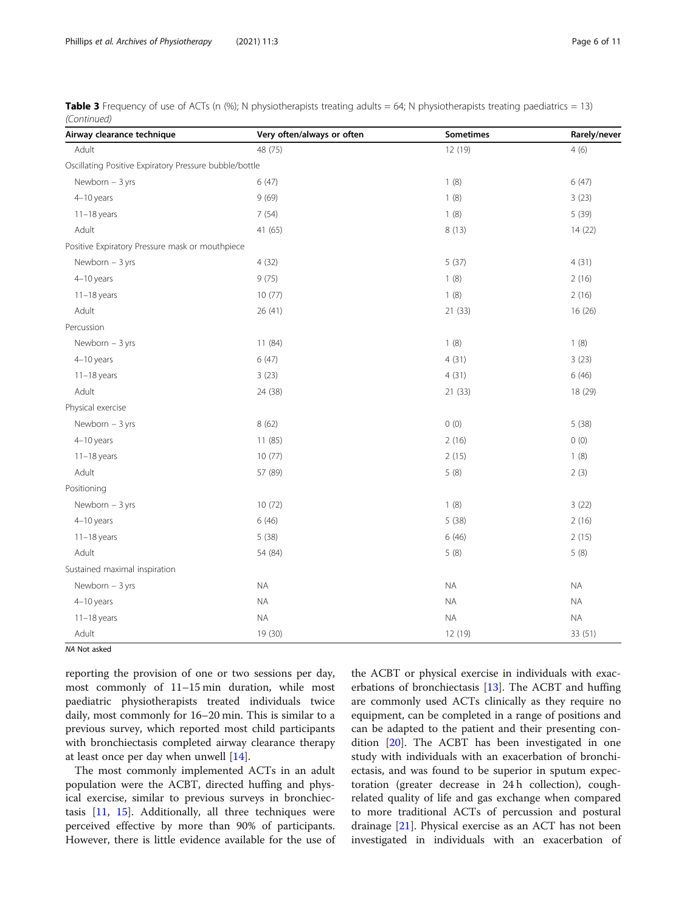| <b>Table 3</b> Frequency of use of ACTs (n (%); N physiotherapists treating adults = 64; N physiotherapists treating paediatrics = 13) |  |
|----------------------------------------------------------------------------------------------------------------------------------------|--|
| (Continued)                                                                                                                            |  |

| Airway clearance technique                             | Very often/always or often | Sometimes | Rarely/never |
|--------------------------------------------------------|----------------------------|-----------|--------------|
| Adult                                                  | 48 (75)                    | 12 (19)   | 4(6)         |
| Oscillating Positive Expiratory Pressure bubble/bottle |                            |           |              |
| Newborn $-3$ yrs                                       | 6(47)                      | 1(8)      | 6(47)        |
| 4-10 years                                             | 9(69)                      | 1(8)      | 3(23)        |
| $11-18$ years                                          | 7(54)                      | 1(8)      | 5 (39)       |
| Adult                                                  | 41 (65)                    | 8 (13)    | 14 (22)      |
| Positive Expiratory Pressure mask or mouthpiece        |                            |           |              |
| Newborn - 3 yrs                                        | 4(32)                      | 5(37)     | 4(31)        |
| 4-10 years                                             | 9(75)                      | 1(8)      | 2(16)        |
| $11-18$ years                                          | 10(77)                     | 1(8)      | 2(16)        |
| Adult                                                  | 26 (41)                    | 21 (33)   | 16 (26)      |
| Percussion                                             |                            |           |              |
| Newborn $-3$ yrs                                       | 11 (84)                    | 1(8)      | 1(8)         |
| 4-10 years                                             | 6(47)                      | 4(31)     | 3(23)        |
| $11-18$ years                                          | 3(23)                      | 4(31)     | 6(46)        |
| Adult                                                  | 24 (38)                    | 21 (33)   | 18 (29)      |
| Physical exercise                                      |                            |           |              |
| Newborn $-3$ yrs                                       | 8(62)                      | 0(0)      | 5(38)        |
| 4-10 years                                             | 11 (85)                    | 2(16)     | 0(0)         |
| $11-18$ years                                          | 10(77)                     | 2(15)     | 1(8)         |
| Adult                                                  | 57 (89)                    | 5(8)      | 2(3)         |
| Positioning                                            |                            |           |              |
| Newborn $-3$ yrs                                       | 10(72)                     | 1(8)      | 3(22)        |
| 4-10 years                                             | 6(46)                      | 5(38)     | 2(16)        |
| $11-18$ years                                          | 5(38)                      | 6(46)     | 2(15)        |
| Adult                                                  | 54 (84)                    | 5(8)      | 5(8)         |
| Sustained maximal inspiration                          |                            |           |              |
| Newborn - 3 yrs                                        | <b>NA</b>                  | <b>NA</b> | <b>NA</b>    |
| 4-10 years                                             | <b>NA</b>                  | <b>NA</b> | <b>NA</b>    |
| $11-18$ years                                          | <b>NA</b>                  | <b>NA</b> | <b>NA</b>    |
| Adult                                                  | 19 (30)                    | 12 (19)   | 33 (51)      |

NA Not asked

reporting the provision of one or two sessions per day, most commonly of 11–15 min duration, while most paediatric physiotherapists treated individuals twice daily, most commonly for 16–20 min. This is similar to a previous survey, which reported most child participants with bronchiectasis completed airway clearance therapy at least once per day when unwell [\[14\]](#page-9-0).

The most commonly implemented ACTs in an adult population were the ACBT, directed huffing and physical exercise, similar to previous surveys in bronchiectasis [\[11](#page-9-0), [15\]](#page-9-0). Additionally, all three techniques were perceived effective by more than 90% of participants. However, there is little evidence available for the use of

the ACBT or physical exercise in individuals with exacerbations of bronchiectasis [[13](#page-9-0)]. The ACBT and huffing are commonly used ACTs clinically as they require no equipment, can be completed in a range of positions and can be adapted to the patient and their presenting condition [[20](#page-9-0)]. The ACBT has been investigated in one study with individuals with an exacerbation of bronchiectasis, and was found to be superior in sputum expectoration (greater decrease in 24 h collection), coughrelated quality of life and gas exchange when compared to more traditional ACTs of percussion and postural drainage [\[21\]](#page-9-0). Physical exercise as an ACT has not been investigated in individuals with an exacerbation of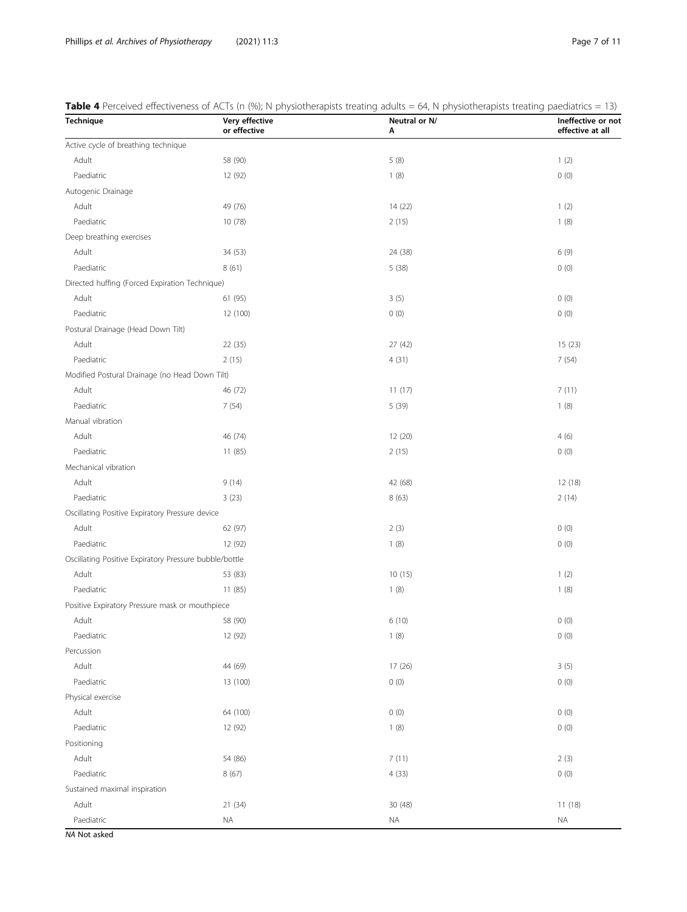<span id="page-6-0"></span>

|  |  | Table 4 Perceived effectiveness of ACTs (n (%); N physiotherapists treating adults = 64, N physiotherapists treating paediatrics = 13) |  |
|--|--|----------------------------------------------------------------------------------------------------------------------------------------|--|
|  |  |                                                                                                                                        |  |

| Technique                                              | Very effective<br>or effective | Neutral or N/<br>Α | Ineffective or not<br>effective at all |
|--------------------------------------------------------|--------------------------------|--------------------|----------------------------------------|
| Active cycle of breathing technique                    |                                |                    |                                        |
| Adult                                                  | 58 (90)                        | 5(8)               | 1(2)                                   |
| Paediatric                                             | 12 (92)                        | 1(8)               | 0(0)                                   |
| Autogenic Drainage                                     |                                |                    |                                        |
| Adult                                                  | 49 (76)                        | 14 (22)            | 1(2)                                   |
| Paediatric                                             | 10 (78)                        | 2(15)              | 1(8)                                   |
| Deep breathing exercises                               |                                |                    |                                        |
| Adult                                                  | 34 (53)                        | 24 (38)            | 6(9)                                   |
| Paediatric                                             | 8(61)                          | 5(38)              | 0(0)                                   |
| Directed huffing (Forced Expiration Technique)         |                                |                    |                                        |
| Adult                                                  | 61 (95)                        | 3(5)               | 0(0)                                   |
| Paediatric                                             | 12 (100)                       | 0(0)               | 0(0)                                   |
| Postural Drainage (Head Down Tilt)                     |                                |                    |                                        |
| Adult                                                  | 22 (35)                        | 27(42)             | 15(23)                                 |
| Paediatric                                             | 2(15)                          | 4(31)              | 7(54)                                  |
| Modified Postural Drainage (no Head Down Tilt)         |                                |                    |                                        |
| Adult                                                  | 46 (72)                        | 11(17)             | 7(11)                                  |
| Paediatric                                             | 7(54)                          | 5 (39)             | 1(8)                                   |
| Manual vibration                                       |                                |                    |                                        |
| Adult                                                  | 46 (74)                        | 12 (20)            | 4(6)                                   |
| Paediatric                                             | 11 (85)                        | 2(15)              | 0(0)                                   |
| Mechanical vibration                                   |                                |                    |                                        |
| Adult                                                  | 9(14)                          | 42 (68)            | 12(18)                                 |
| Paediatric                                             | 3(23)                          | 8(63)              | 2(14)                                  |
| Oscillating Positive Expiratory Pressure device        |                                |                    |                                        |
| Adult                                                  | 62 (97)                        | 2(3)               | 0(0)                                   |
| Paediatric                                             | 12 (92)                        | 1(8)               | 0(0)                                   |
| Oscillating Positive Expiratory Pressure bubble/bottle |                                |                    |                                        |
| Adult                                                  | 53 (83)                        | 10(15)             | 1(2)                                   |
| Paediatric                                             | 11 (85)                        | 1(8)               | 1(8)                                   |
| Positive Expiratory Pressure mask or mouthpiece        |                                |                    |                                        |
| Adult                                                  | 58 (90)                        | 6(10)              | 0(0)                                   |
| Paediatric                                             | 12 (92)                        | 1(8)               | 0(0)                                   |
| Percussion                                             |                                |                    |                                        |
| Adult                                                  | 44 (69)                        | 17(26)             | 3(5)                                   |
| Paediatric                                             | 13 (100)                       | 0(0)               | 0(0)                                   |
| Physical exercise                                      |                                |                    |                                        |
| Adult                                                  | 64 (100)                       | 0(0)               | $0\ (0)$                               |
| Paediatric                                             | 12 (92)                        | 1(8)               | $0\ (0)$                               |
| Positioning                                            |                                |                    |                                        |
| Adult                                                  | 54 (86)                        | 7(11)              | 2(3)                                   |
| Paediatric                                             | 8 (67)                         | 4(33)              | $0\ (0)$                               |
| Sustained maximal inspiration                          |                                |                    |                                        |
| Adult                                                  | 21 (34)                        | 30 (48)            | 11(18)                                 |
| Paediatric                                             | <b>NA</b>                      | <b>NA</b>          | <b>NA</b>                              |

NA Not asked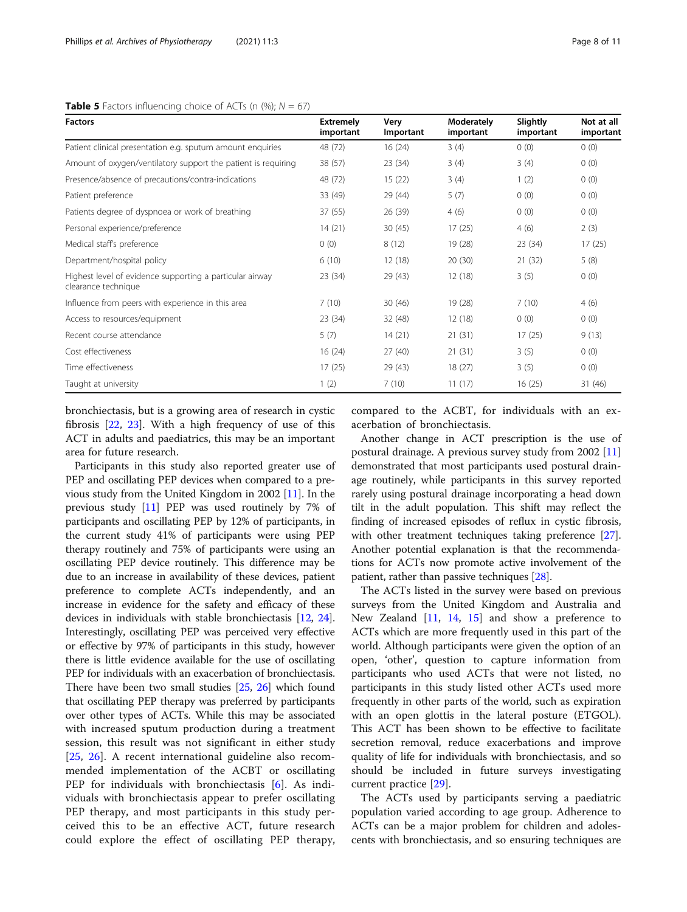# <span id="page-7-0"></span>**Table 5** Factors influencing choice of ACTs (n  $\left(\% \right)$ ; N = 67)

| <b>Factors</b>                                                                  | <b>Extremely</b><br>important | Very<br>Important | Moderately<br>important | Slightly<br>important | Not at all<br>important |
|---------------------------------------------------------------------------------|-------------------------------|-------------------|-------------------------|-----------------------|-------------------------|
| Patient clinical presentation e.g. sputum amount enquiries                      | 48 (72)                       | 16(24)            | 3(4)                    | 0(0)                  | 0(0)                    |
| Amount of oxygen/ventilatory support the patient is requiring                   | 38 (57)                       | 23(34)            | 3(4)                    | 3(4)                  | 0(0)                    |
| Presence/absence of precautions/contra-indications                              | 48 (72)                       | 15(22)            | 3(4)                    | 1(2)                  | 0(0)                    |
| Patient preference                                                              | 33 (49)                       | 29 (44)           | 5(7)                    | 0(0)                  | 0(0)                    |
| Patients degree of dyspnoea or work of breathing                                | 37 (55)                       | 26 (39)           | 4(6)                    | 0(0)                  | 0(0)                    |
| Personal experience/preference                                                  | 14(21)                        | 30(45)            | 17(25)                  | 4(6)                  | 2(3)                    |
| Medical staff's preference                                                      | 0(0)                          | 8(12)             | 19 (28)                 | 23(34)                | 17(25)                  |
| Department/hospital policy                                                      | 6(10)                         | 12(18)            | 20(30)                  | 21(32)                | 5(8)                    |
| Highest level of evidence supporting a particular airway<br>clearance technique | 23 (34)                       | 29 (43)           | 12(18)                  | 3(5)                  | 0(0)                    |
| Influence from peers with experience in this area                               | 7(10)                         | 30(46)            | 19 (28)                 | 7(10)                 | 4(6)                    |
| Access to resources/equipment                                                   | 23 (34)                       | 32 (48)           | 12(18)                  | 0(0)                  | 0(0)                    |
| Recent course attendance                                                        | 5(7)                          | 14(21)            | 21(31)                  | 17(25)                | 9(13)                   |
| Cost effectiveness                                                              | 16(24)                        | 27(40)            | 21(31)                  | 3(5)                  | 0(0)                    |
| Time effectiveness                                                              | 17(25)                        | 29 (43)           | 18(27)                  | 3(5)                  | 0(0)                    |
| Taught at university                                                            | 1(2)                          | 7(10)             | 11(17)                  | 16(25)                | 31 (46)                 |

bronchiectasis, but is a growing area of research in cystic fibrosis [[22,](#page-9-0) [23](#page-9-0)]. With a high frequency of use of this ACT in adults and paediatrics, this may be an important area for future research.

Participants in this study also reported greater use of PEP and oscillating PEP devices when compared to a previous study from the United Kingdom in 2002 [[11](#page-9-0)]. In the previous study [[11](#page-9-0)] PEP was used routinely by 7% of participants and oscillating PEP by 12% of participants, in the current study 41% of participants were using PEP therapy routinely and 75% of participants were using an oscillating PEP device routinely. This difference may be due to an increase in availability of these devices, patient preference to complete ACTs independently, and an increase in evidence for the safety and efficacy of these devices in individuals with stable bronchiectasis [\[12,](#page-9-0) [24](#page-9-0)]. Interestingly, oscillating PEP was perceived very effective or effective by 97% of participants in this study, however there is little evidence available for the use of oscillating PEP for individuals with an exacerbation of bronchiectasis. There have been two small studies [\[25,](#page-9-0) [26](#page-9-0)] which found that oscillating PEP therapy was preferred by participants over other types of ACTs. While this may be associated with increased sputum production during a treatment session, this result was not significant in either study [[25,](#page-9-0) [26\]](#page-9-0). A recent international guideline also recommended implementation of the ACBT or oscillating PEP for individuals with bronchiectasis [[6\]](#page-9-0). As individuals with bronchiectasis appear to prefer oscillating PEP therapy, and most participants in this study perceived this to be an effective ACT, future research could explore the effect of oscillating PEP therapy, compared to the ACBT, for individuals with an exacerbation of bronchiectasis.

Another change in ACT prescription is the use of postural drainage. A previous survey study from 2002 [[11](#page-9-0)] demonstrated that most participants used postural drainage routinely, while participants in this survey reported rarely using postural drainage incorporating a head down tilt in the adult population. This shift may reflect the finding of increased episodes of reflux in cystic fibrosis, with other treatment techniques taking preference [[27](#page-9-0)]. Another potential explanation is that the recommendations for ACTs now promote active involvement of the patient, rather than passive techniques [[28\]](#page-9-0).

The ACTs listed in the survey were based on previous surveys from the United Kingdom and Australia and New Zealand [\[11](#page-9-0), [14,](#page-9-0) [15\]](#page-9-0) and show a preference to ACTs which are more frequently used in this part of the world. Although participants were given the option of an open, 'other', question to capture information from participants who used ACTs that were not listed, no participants in this study listed other ACTs used more frequently in other parts of the world, such as expiration with an open glottis in the lateral posture (ETGOL). This ACT has been shown to be effective to facilitate secretion removal, reduce exacerbations and improve quality of life for individuals with bronchiectasis, and so should be included in future surveys investigating current practice [\[29\]](#page-9-0).

The ACTs used by participants serving a paediatric population varied according to age group. Adherence to ACTs can be a major problem for children and adolescents with bronchiectasis, and so ensuring techniques are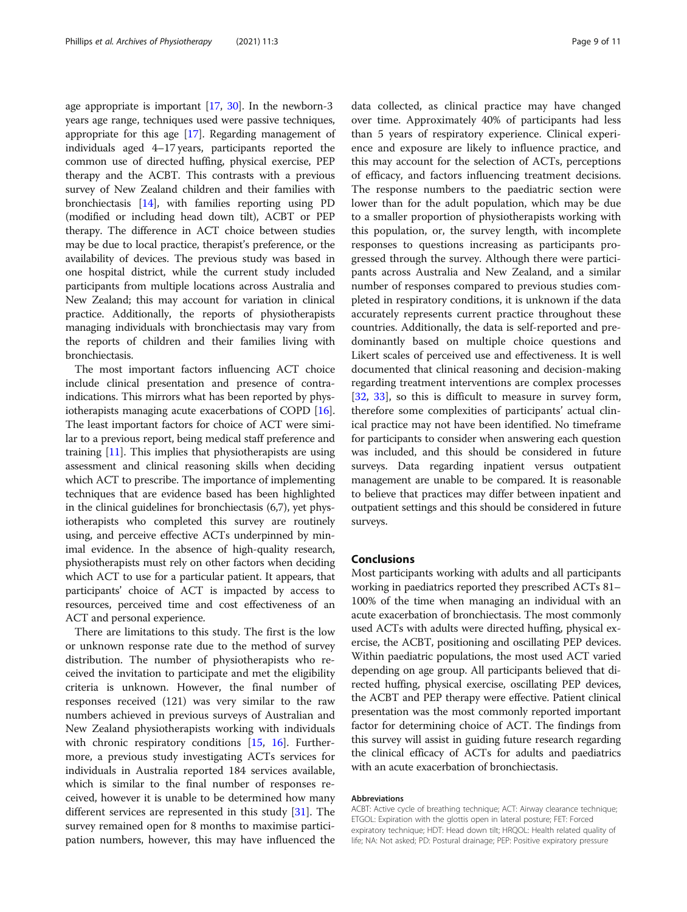age appropriate is important [\[17,](#page-9-0) [30\]](#page-9-0). In the newborn-3 years age range, techniques used were passive techniques, appropriate for this age [[17](#page-9-0)]. Regarding management of individuals aged 4–17 years, participants reported the common use of directed huffing, physical exercise, PEP therapy and the ACBT. This contrasts with a previous survey of New Zealand children and their families with bronchiectasis [\[14\]](#page-9-0), with families reporting using PD (modified or including head down tilt), ACBT or PEP therapy. The difference in ACT choice between studies may be due to local practice, therapist's preference, or the availability of devices. The previous study was based in one hospital district, while the current study included participants from multiple locations across Australia and New Zealand; this may account for variation in clinical practice. Additionally, the reports of physiotherapists managing individuals with bronchiectasis may vary from the reports of children and their families living with bronchiectasis.

The most important factors influencing ACT choice include clinical presentation and presence of contraindications. This mirrors what has been reported by physiotherapists managing acute exacerbations of COPD [[16](#page-9-0)]. The least important factors for choice of ACT were similar to a previous report, being medical staff preference and training [\[11](#page-9-0)]. This implies that physiotherapists are using assessment and clinical reasoning skills when deciding which ACT to prescribe. The importance of implementing techniques that are evidence based has been highlighted in the clinical guidelines for bronchiectasis (6,7), yet physiotherapists who completed this survey are routinely using, and perceive effective ACTs underpinned by minimal evidence. In the absence of high-quality research, physiotherapists must rely on other factors when deciding which ACT to use for a particular patient. It appears, that participants' choice of ACT is impacted by access to resources, perceived time and cost effectiveness of an ACT and personal experience.

There are limitations to this study. The first is the low or unknown response rate due to the method of survey distribution. The number of physiotherapists who received the invitation to participate and met the eligibility criteria is unknown. However, the final number of responses received (121) was very similar to the raw numbers achieved in previous surveys of Australian and New Zealand physiotherapists working with individuals with chronic respiratory conditions [[15,](#page-9-0) [16](#page-9-0)]. Furthermore, a previous study investigating ACTs services for individuals in Australia reported 184 services available, which is similar to the final number of responses received, however it is unable to be determined how many different services are represented in this study [[31](#page-10-0)]. The survey remained open for 8 months to maximise participation numbers, however, this may have influenced the data collected, as clinical practice may have changed over time. Approximately 40% of participants had less than 5 years of respiratory experience. Clinical experience and exposure are likely to influence practice, and this may account for the selection of ACTs, perceptions of efficacy, and factors influencing treatment decisions. The response numbers to the paediatric section were lower than for the adult population, which may be due to a smaller proportion of physiotherapists working with this population, or, the survey length, with incomplete responses to questions increasing as participants progressed through the survey. Although there were participants across Australia and New Zealand, and a similar number of responses compared to previous studies completed in respiratory conditions, it is unknown if the data accurately represents current practice throughout these countries. Additionally, the data is self-reported and predominantly based on multiple choice questions and Likert scales of perceived use and effectiveness. It is well documented that clinical reasoning and decision-making regarding treatment interventions are complex processes [[32,](#page-10-0) [33](#page-10-0)], so this is difficult to measure in survey form, therefore some complexities of participants' actual clinical practice may not have been identified. No timeframe for participants to consider when answering each question was included, and this should be considered in future surveys. Data regarding inpatient versus outpatient management are unable to be compared. It is reasonable to believe that practices may differ between inpatient and outpatient settings and this should be considered in future surveys.

# Conclusions

Most participants working with adults and all participants working in paediatrics reported they prescribed ACTs 81– 100% of the time when managing an individual with an acute exacerbation of bronchiectasis. The most commonly used ACTs with adults were directed huffing, physical exercise, the ACBT, positioning and oscillating PEP devices. Within paediatric populations, the most used ACT varied depending on age group. All participants believed that directed huffing, physical exercise, oscillating PEP devices, the ACBT and PEP therapy were effective. Patient clinical presentation was the most commonly reported important factor for determining choice of ACT. The findings from this survey will assist in guiding future research regarding the clinical efficacy of ACTs for adults and paediatrics with an acute exacerbation of bronchiectasis.

#### Abbreviations

ACBT: Active cycle of breathing technique; ACT: Airway clearance technique; ETGOL: Expiration with the glottis open in lateral posture; FET: Forced expiratory technique; HDT: Head down tilt; HRQOL: Health related quality of life; NA: Not asked; PD: Postural drainage; PEP: Positive expiratory pressure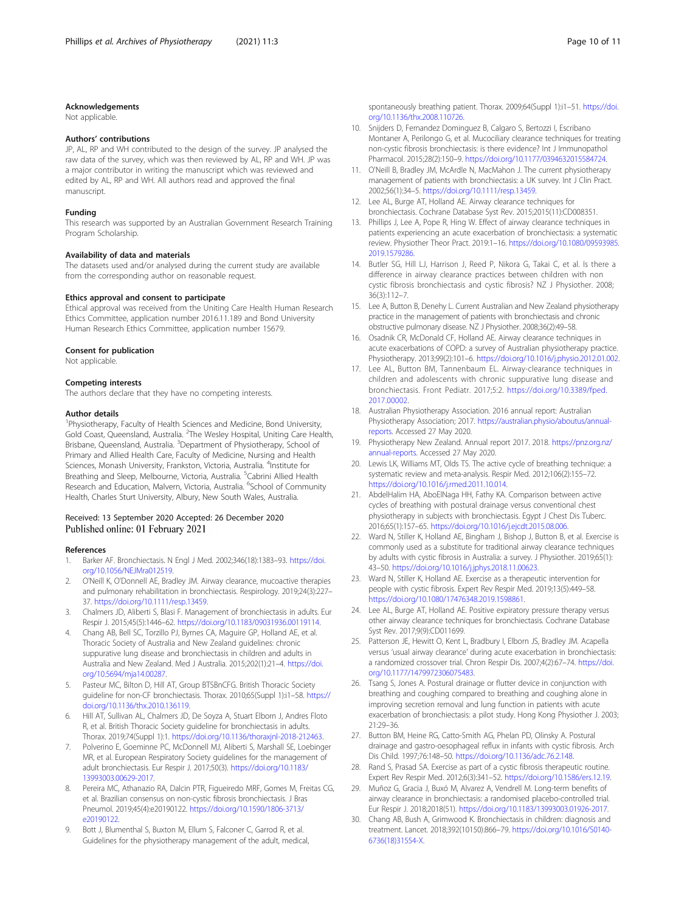#### <span id="page-9-0"></span>Acknowledgements

Not applicable.

#### Authors' contributions

JP, AL, RP and WH contributed to the design of the survey. JP analysed the raw data of the survey, which was then reviewed by AL, RP and WH. JP was a major contributor in writing the manuscript which was reviewed and edited by AL, RP and WH. All authors read and approved the final manuscript.

#### Funding

This research was supported by an Australian Government Research Training Program Scholarship.

#### Availability of data and materials

The datasets used and/or analysed during the current study are available from the corresponding author on reasonable request.

#### Ethics approval and consent to participate

Ethical approval was received from the Uniting Care Health Human Research Ethics Committee, application number 2016.11.189 and Bond University Human Research Ethics Committee, application number 15679.

### Consent for publication

Not applicable.

#### Competing interests

The authors declare that they have no competing interests.

#### Author details

<sup>1</sup> Physiotherapy, Faculty of Health Sciences and Medicine, Bond University, Gold Coast, Queensland, Australia. <sup>2</sup>The Wesley Hospital, Uniting Care Health, Brisbane, Queensland, Australia. <sup>3</sup>Department of Physiotherapy, School of Primary and Allied Health Care, Faculty of Medicine, Nursing and Health Sciences, Monash University, Frankston, Victoria, Australia. <sup>4</sup>Institute for Breathing and Sleep, Melbourne, Victoria, Australia. <sup>5</sup>Cabrini Allied Health Research and Education, Malvern, Victoria, Australia. <sup>6</sup>School of Community Health, Charles Sturt University, Albury, New South Wales, Australia.

# Received: 13 September 2020 Accepted: 26 December 2020 Published online: 01 February 2021

#### References

- 1. Barker AF. Bronchiectasis. N Engl J Med. 2002;346(18):1383–93. [https://doi.](https://doi.org/10.1056/NEJMra012519) [org/10.1056/NEJMra012519](https://doi.org/10.1056/NEJMra012519).
- 2. O'Neill K, O'Donnell AE, Bradley JM. Airway clearance, mucoactive therapies and pulmonary rehabilitation in bronchiectasis. Respirology. 2019;24(3):227– 37. <https://doi.org/10.1111/resp.13459>.
- 3. Chalmers JD, Aliberti S, Blasi F. Management of bronchiectasis in adults. Eur Respir J. 2015;45(5):1446–62. [https://doi.org/10.1183/09031936.00119114.](https://doi.org/10.1183/09031936.00119114)
- 4. Chang AB, Bell SC, Torzillo PJ, Byrnes CA, Maguire GP, Holland AE, et al. Thoracic Society of Australia and New Zealand guidelines: chronic suppurative lung disease and bronchiectasis in children and adults in Australia and New Zealand. Med J Australia. 2015;202(1):21–4. [https://doi.](https://doi.org/10.5694/mja14.00287) [org/10.5694/mja14.00287](https://doi.org/10.5694/mja14.00287).
- 5. Pasteur MC, Bilton D, Hill AT, Group BTSBnCFG. British Thoracic Society guideline for non-CF bronchiectasis. Thorax. 2010;65(Suppl 1):i1-58. [https://](https://doi.org/10.1136/thx.2010.136119) [doi.org/10.1136/thx.2010.136119.](https://doi.org/10.1136/thx.2010.136119)
- 6. Hill AT, Sullivan AL, Chalmers JD, De Soyza A, Stuart Elborn J, Andres Floto R, et al. British Thoracic Society guideline for bronchiectasis in adults. Thorax. 2019;74(Suppl 1):1. <https://doi.org/10.1136/thoraxjnl-2018-212463>.
- Polverino E, Goeminne PC, McDonnell MJ, Aliberti S, Marshall SE, Loebinger MR, et al. European Respiratory Society guidelines for the management of adult bronchiectasis. Eur Respir J. 2017;50(3). [https://doi.org/10.1183/](https://doi.org/10.1183/13993003.00629-2017) [13993003.00629-2017.](https://doi.org/10.1183/13993003.00629-2017)
- 8. Pereira MC, Athanazio RA, Dalcin PTR, Figueiredo MRF, Gomes M, Freitas CG, et al. Brazilian consensus on non-cystic fibrosis bronchiectasis. J Bras Pneumol. 2019;45(4):e20190122. [https://doi.org/10.1590/1806-3713/](https://doi.org/10.1590/1806-3713/e20190122) [e20190122](https://doi.org/10.1590/1806-3713/e20190122).
- Bott J, Blumenthal S, Buxton M, Ellum S, Falconer C, Garrod R, et al. Guidelines for the physiotherapy management of the adult, medical,

spontaneously breathing patient. Thorax. 2009;64(Suppl 1):i1–51. [https://doi.](https://doi.org/10.1136/thx.2008.110726) [org/10.1136/thx.2008.110726](https://doi.org/10.1136/thx.2008.110726).

- 10. Snijders D, Fernandez Dominguez B, Calgaro S, Bertozzi I, Escribano Montaner A, Perilongo G, et al. Mucociliary clearance techniques for treating non-cystic fibrosis bronchiectasis: is there evidence? Int J Immunopathol Pharmacol. 2015;28(2):150–9. <https://doi.org/10.1177/0394632015584724>.
- 11. O'Neill B, Bradley JM, McArdle N, MacMahon J. The current physiotherapy management of patients with bronchiectasis: a UK survey. Int J Clin Pract. 2002;56(1):34–5. <https://doi.org/10.1111/resp.13459>.
- 12. Lee AL, Burge AT, Holland AE. Airway clearance techniques for bronchiectasis. Cochrane Database Syst Rev. 2015;2015(11):CD008351.
- 13. Phillips J, Lee A, Pope R, Hing W. Effect of airway clearance techniques in patients experiencing an acute exacerbation of bronchiectasis: a systematic review. Physiother Theor Pract. 2019:1–16. [https://doi.org/10.1080/09593985.](https://doi.org/10.1080/09593985.2019.1579286) [2019.1579286](https://doi.org/10.1080/09593985.2019.1579286).
- 14. Butler SG, Hill LJ, Harrison J, Reed P, Nikora G, Takai C, et al. Is there a difference in airway clearance practices between children with non cystic fibrosis bronchiectasis and cystic fibrosis? NZ J Physiother. 2008; 36(3):112–7.
- 15. Lee A, Button B, Denehy L. Current Australian and New Zealand physiotherapy practice in the management of patients with bronchiectasis and chronic obstructive pulmonary disease. NZ J Physiother. 2008;36(2):49–58.
- 16. Osadnik CR, McDonald CF, Holland AE. Airway clearance techniques in acute exacerbations of COPD: a survey of Australian physiotherapy practice. Physiotherapy. 2013;99(2):101–6. <https://doi.org/10.1016/j.physio.2012.01.002>.
- 17. Lee AL, Button BM, Tannenbaum EL. Airway-clearance techniques in children and adolescents with chronic suppurative lung disease and bronchiectasis. Front Pediatr. 2017;5:2. [https://doi.org/10.3389/fped.](https://doi.org/10.3389/fped.2017.00002) [2017.00002.](https://doi.org/10.3389/fped.2017.00002)
- 18. Australian Physiotherapy Association. 2016 annual report: Australian Physiotherapy Association; 2017. [https://australian.physio/aboutus/annual](https://australian.physio/aboutus/annual-reports)[reports.](https://australian.physio/aboutus/annual-reports) Accessed 27 May 2020.
- 19. Physiotherapy New Zealand. Annual report 2017. 2018. [https://pnz.org.nz/](https://pnz.org.nz/annual-reports) [annual-reports.](https://pnz.org.nz/annual-reports) Accessed 27 May 2020.
- 20. Lewis LK, Williams MT, Olds TS. The active cycle of breathing technique: a systematic review and meta-analysis. Respir Med. 2012;106(2):155–72. <https://doi.org/10.1016/j.rmed.2011.10.014>.
- 21. AbdelHalim HA, AboElNaga HH, Fathy KA. Comparison between active cycles of breathing with postural drainage versus conventional chest physiotherapy in subjects with bronchiectasis. Egypt J Chest Dis Tuberc. 2016;65(1):157–65. [https://doi.org/10.1016/j.ejcdt.2015.08.006.](https://doi.org/10.1016/j.ejcdt.2015.08.006)
- 22. Ward N, Stiller K, Holland AE, Bingham J, Bishop J, Button B, et al. Exercise is commonly used as a substitute for traditional airway clearance techniques by adults with cystic fibrosis in Australia: a survey. J Physiother. 2019;65(1): 43–50. <https://doi.org/10.1016/j.jphys.2018.11.00623>.
- 23. Ward N, Stiller K, Holland AE. Exercise as a therapeutic intervention for people with cystic fibrosis. Expert Rev Respir Med. 2019;13(5):449–58. <https://doi.org/10.1080/17476348.2019.1598861>.
- 24. Lee AL, Burge AT, Holland AE. Positive expiratory pressure therapy versus other airway clearance techniques for bronchiectasis. Cochrane Database Syst Rev. 2017;9(9):CD011699.
- 25. Patterson JE, Hewitt O, Kent L, Bradbury I, Elborn JS, Bradley JM. Acapella versus 'usual airway clearance' during acute exacerbation in bronchiectasis: a randomized crossover trial. Chron Respir Dis. 2007;4(2):67–74. [https://doi.](https://doi.org/10.1177/1479972306075483) [org/10.1177/1479972306075483.](https://doi.org/10.1177/1479972306075483)
- 26. Tsang S, Jones A. Postural drainage or flutter device in conjunction with breathing and coughing compared to breathing and coughing alone in improving secretion removal and lung function in patients with acute exacerbation of bronchiectasis: a pilot study. Hong Kong Physiother J. 2003; 21:29–36.
- 27. Button BM, Heine RG, Catto-Smith AG, Phelan PD, Olinsky A. Postural drainage and gastro-oesophageal reflux in infants with cystic fibrosis. Arch Dis Child. 1997;76:148–50. [https://doi.org/10.1136/adc.76.2.148.](https://doi.org/10.1136/adc.76.2.148)
- 28. Rand S, Prasad SA. Exercise as part of a cystic fibrosis therapeutic routine. Expert Rev Respir Med. 2012;6(3):341–52. <https://doi.org/10.1586/ers.12.19>.
- 29. Muñoz G, Gracia J, Buxó M, Alvarez A, Vendrell M. Long-term benefits of airway clearance in bronchiectasis: a randomised placebo-controlled trial. Eur Respir J. 2018;2018(51). [https://doi.org/10.1183/13993003.01926-2017.](https://doi.org/10.1183/13993003.01926-2017)
- 30. Chang AB, Bush A, Grimwood K. Bronchiectasis in children: diagnosis and treatment. Lancet. 2018;392(10150):866–79. [https://doi.org/10.1016/S0140-](https://doi.org/10.1016/S0140-6736(18)31554-X) [6736\(18\)31554-X.](https://doi.org/10.1016/S0140-6736(18)31554-X)